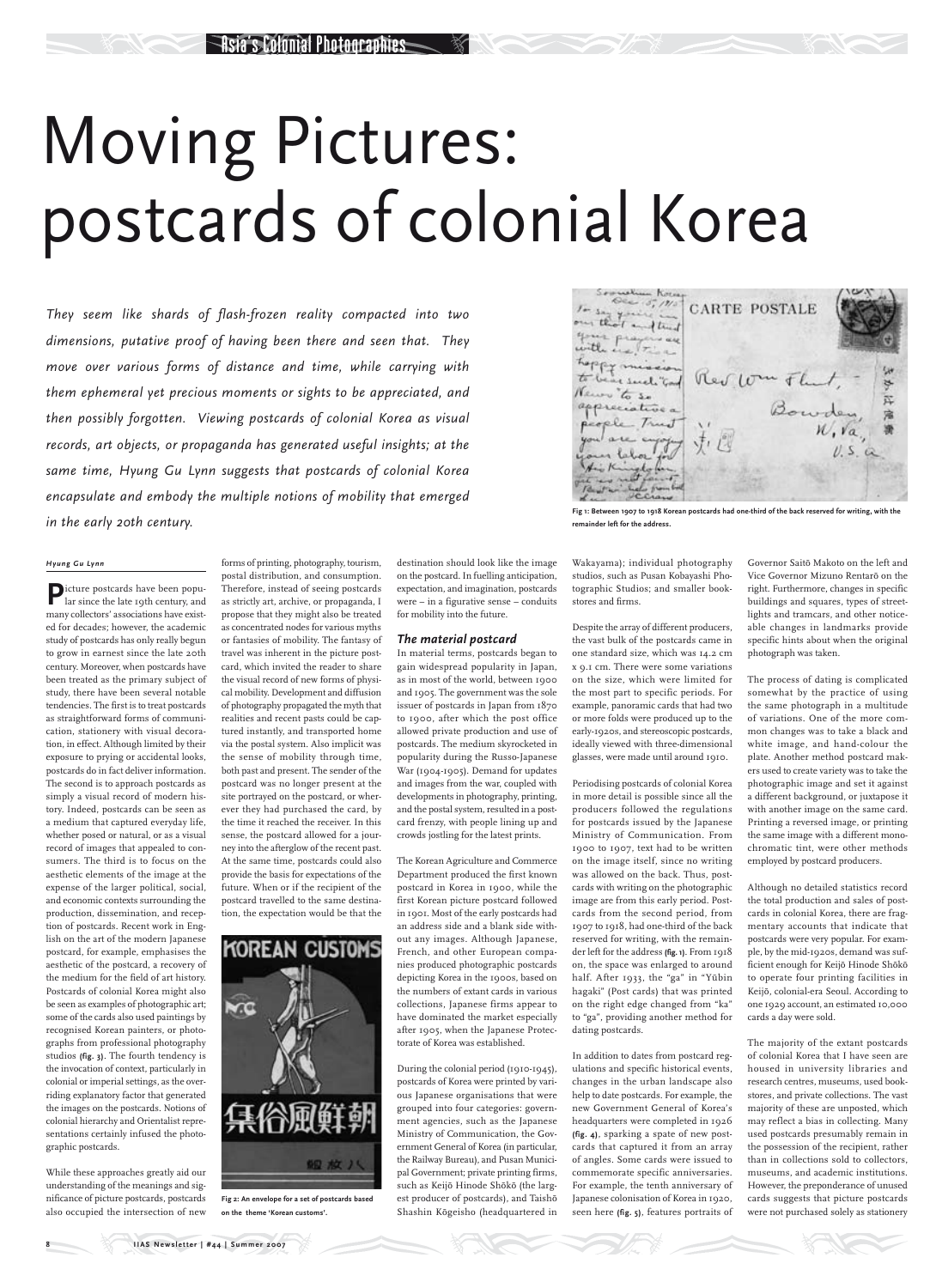# Moving Pictures: postcards of colonial Korea

*They seem like shards of flash-frozen reality compacted into two dimensions, putative proof of having been there and seen that. They move over various forms of distance and time, while carrying with them ephemeral yet precious moments or sights to be appreciated, and then possibly forgotten. Viewing postcards of colonial Korea as visual records, art objects, or propaganda has generated useful insights; at the same time, Hyung Gu Lynn suggests that postcards of colonial Korea encapsulate and embody the multiple notions of mobility that emerged in the early 20th century.*

### *Hyung Gu Lynn*

**P**icture postcards have been popu-lar since the late 19th century, and many collectors' associations have existed for decades; however, the academic study of postcards has only really begun to grow in earnest since the late 20th century. Moreover, when postcards have been treated as the primary subject of study, there have been several notable tendencies. The first is to treat postcards as straightforward forms of communication, stationery with visual decoration, in effect. Although limited by their exposure to prying or accidental looks, postcards do in fact deliver information. The second is to approach postcards as simply a visual record of modern history. Indeed, postcards can be seen as a medium that captured everyday life, whether posed or natural, or as a visual record of images that appealed to consumers. The third is to focus on the aesthetic elements of the image at the expense of the larger political, social, and economic contexts surrounding the production, dissemination, and reception of postcards. Recent work in English on the art of the modern Japanese postcard, for example, emphasises the aesthetic of the postcard, a recovery of the medium for the field of art history. Postcards of colonial Korea might also be seen as examples of photographic art; some of the cards also used paintings by recognised Korean painters, or photographs from professional photography studios **(fig. 3)**. The fourth tendency is the invocation of context, particularly in colonial or imperial settings, as the overriding explanatory factor that generated the images on the postcards. Notions of colonial hierarchy and Orientalist representations certainly infused the photographic postcards.

While these approaches greatly aid our understanding of the meanings and significance of picture postcards, postcards also occupied the intersection of new



During the colonial period (1910-1945), postcards of Korea were printed by various Japanese organisations that were grouped into four categories: government agencies, such as the Japanese Ministry of Communication, the Government General of Korea (in particular, the Railway Bureau), and Pusan Municipal Government; private printing firms, such as Keijō Hinode Shōkō (the largest producer of postcards), and Taishō Shashin Kōgeisho (headquartered in

forms of printing, photography, tourism, postal distribution, and consumption. Therefore, instead of seeing postcards as strictly art, archive, or propaganda, I propose that they might also be treated as concentrated nodes for various myths or fantasies of mobility. The fantasy of travel was inherent in the picture postcard, which invited the reader to share the visual record of new forms of physical mobility. Development and diffusion of photography propagated the myth that realities and recent pasts could be captured instantly, and transported home via the postal system. Also implicit was the sense of mobility through time, both past and present. The sender of the postcard was no longer present at the site portrayed on the postcard, or wherever they had purchased the card, by the time it reached the receiver. In this sense, the postcard allowed for a journey into the afterglow of the recent past. At the same time, postcards could also provide the basis for expectations of the future. When or if the recipient of the postcard travelled to the same destination, the expectation would be that the

**KOREAN CUSTOMS** 

half. After 1933, the "ga" in "Yūbin hagaki" (Post cards) that was printed on the right edge changed from "ka" to "ga", providing another method for dating postcards.

Governor Saitō Makoto on the left and Vice Governor Mizuno Rentarō on the right. Furthermore, changes in specific buildings and squares, types of streetlights and tramcars, and other noticeable changes in landmarks provide specific hints about when the original photograph was taken.

destination should look like the image on the postcard. In fuelling anticipation, expectation, and imagination, postcards were – in a figurative sense – conduits for mobility into the future.

## *The material postcard*

In material terms, postcards began to gain widespread popularity in Japan, as in most of the world, between 1900 and 1905. The government was the sole issuer of postcards in Japan from 1870 to 1900, after which the post office allowed private production and use of postcards. The medium skyrocketed in popularity during the Russo-Japanese War (1904-1905). Demand for updates and images from the war, coupled with developments in photography, printing, and the postal system, resulted in a postcard frenzy, with people lining up and crowds jostling for the latest prints.

The Korean Agriculture and Commerce Department produced the first known postcard in Korea in 1900, while the first Korean picture postcard followed in 1901. Most of the early postcards had an address side and a blank side without any images. Although Japanese, French, and other European companies produced photographic postcards depicting Korea in the 1900s, based on the numbers of extant cards in various collections, Japanese firms appear to have dominated the market especially after 1905, when the Japanese Protectorate of Korea was established.

Wakayama); individual photography studios, such as Pusan Kobayashi Photographic Studios; and smaller bookstores and firms.

Despite the array of different producers, the vast bulk of the postcards came in one standard size, which was 14.2 cm x 9.1 cm. There were some variations on the size, which were limited for the most part to specific periods. For example, panoramic cards that had two or more folds were produced up to the early-1920s, and stereoscopic postcards, ideally viewed with three-dimensional glasses, were made until around 1910.

Periodising postcards of colonial Korea in more detail is possible since all the producers followed the regulations for postcards issued by the Japanese Ministry of Communication. From 1900 to 1907, text had to be written on the image itself, since no writing was allowed on the back. Thus, postcards with writing on the photographic image are from this early period. Postcards from the second period, from 1907 to 1918, had one-third of the back reserved for writing, with the remainder left for the address **(fig. 1)**. From 1918 on, the space was enlarged to around

In addition to dates from postcard regulations and specific historical events, changes in the urban landscape also help to date postcards. For example, the new Government General of Korea's headquarters were completed in 1926 **(fig. 4)**, sparking a spate of new postcards that captured it from an array of angles. Some cards were issued to commemorate specific anniversaries. For example, the tenth anniversary of Japanese colonisation of Korea in 1920, seen here **(fig. 5)**, features portraits of The process of dating is complicated somewhat by the practice of using the same photograph in a multitude of variations. One of the more common changes was to take a black and white image, and hand-colour the plate. Another method postcard makers used to create variety was to take the photographic image and set it against a different background, or juxtapose it with another image on the same card. Printing a reversed image, or printing the same image with a different monochromatic tint, were other methods employed by postcard producers.

Although no detailed statistics record the total production and sales of postcards in colonial Korea, there are fragmentary accounts that indicate that postcards were very popular. For example, by the mid-1920s, demand was sufficient enough for Keijō Hinode Shōkō to operate four printing facilities in Keijō, colonial-era Seoul. According to one 1929 account, an estimated 10,000 cards a day were sold.

The majority of the extant postcards of colonial Korea that I have seen are housed in university libraries and research centres, museums, used bookstores, and private collections. The vast majority of these are unposted, which may reflect a bias in collecting. Many used postcards presumably remain in the possession of the recipient, rather than in collections sold to collectors, museums, and academic institutions. However, the preponderance of unused cards suggests that picture postcards were not purchased solely as stationery

**IIAS Newsletter | #44 | Summer 2007** 

**Fig 2: An envelope for a set of postcards based on the theme 'Korean customs'.**



**Fig 1: Between 1907 to 1918 Korean postcards had one-third of the back reserved for writing, with the remainder left for the address.**